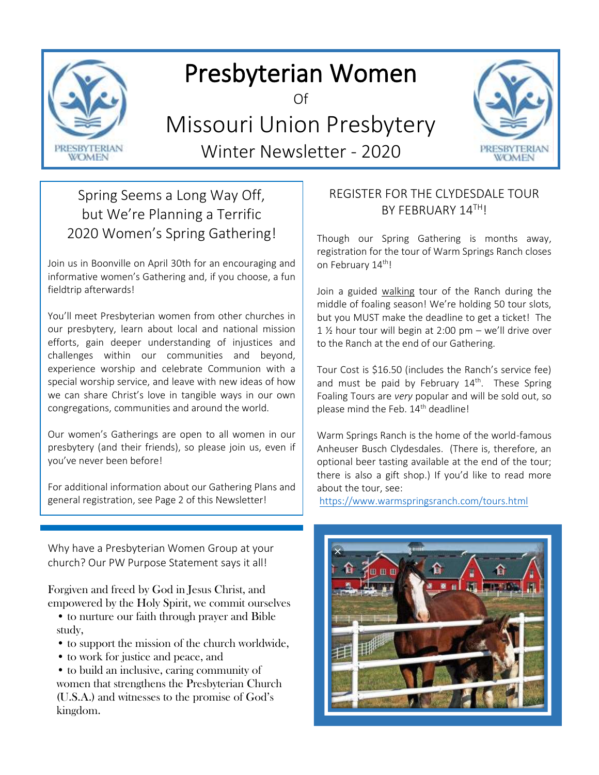

# Presbyterian Women

Of

## Missouri Union Presbytery Winter Newsletter - 2020



## Spring Seems a Long Way Off, but We're Planning a Terrific 2020 Women's Spring Gathering!

Join us in Boonville on April 30th for an encouraging and informative women's Gathering and, if you choose, a fun fieldtrip afterwards!

You'll meet Presbyterian women from other churches in our presbytery, learn about local and national mission efforts, gain deeper understanding of injustices and challenges within our communities and beyond, experience worship and celebrate Communion with a special worship service, and leave with new ideas of how we can share Christ's love in tangible ways in our own congregations, communities and around the world.

Our women's Gatherings are open to all women in our presbytery (and their friends), so please join us, even if you've never been before!

For additional information about our Gathering Plans and general registration, see Page 2 of this Newsletter!

Why have a Presbyterian Women Group at your church? Our PW Purpose Statement says it all!

Forgiven and freed by God in Jesus Christ, and empowered by the Holy Spirit, we commit ourselves

- to nurture our faith through prayer and Bible study,
- to support the mission of the church worldwide,
- to work for justice and peace, and

• to build an inclusive, caring community of women that strengthens the Presbyterian Church (U.S.A.) and witnesses to the promise of God's kingdom.

## REGISTER FOR THE CLYDESDALE TOUR BY FEBRUARY 14TH!

Though our Spring Gathering is months away, registration for the tour of Warm Springs Ranch closes on February 14<sup>th</sup>!

Join a guided walking tour of the Ranch during the middle of foaling season! We're holding 50 tour slots, but you MUST make the deadline to get a ticket! The 1 ½ hour tour will begin at 2:00 pm – we'll drive over to the Ranch at the end of our Gathering.

Tour Cost is \$16.50 (includes the Ranch's service fee) and must be paid by February  $14<sup>th</sup>$ . These Spring Foaling Tours are *very* popular and will be sold out, so please mind the Feb. 14<sup>th</sup> deadline!

Warm Springs Ranch is the home of the world-famous Anheuser Busch Clydesdales. (There is, therefore, an optional beer tasting available at the end of the tour; there is also a gift shop.) If you'd like to read more about the tour, see:

<https://www.warmspringsranch.com/tours.html>

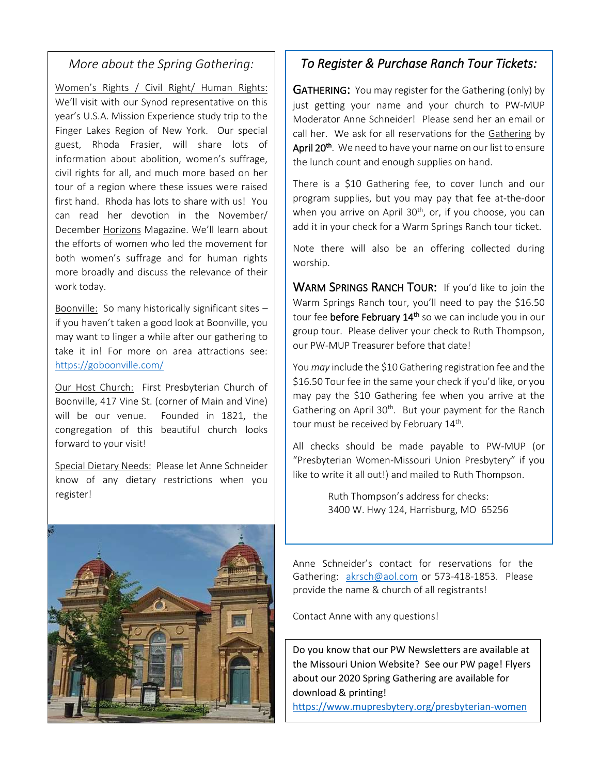## *More about the Spring Gathering:*

Women's Rights / Civil Right/ Human Rights: We'll visit with our Synod representative on this year's U.S.A. Mission Experience study trip to the Finger Lakes Region of New York. Our special guest, Rhoda Frasier, will share lots of information about abolition, women's suffrage, civil rights for all, and much more based on her tour of a region where these issues were raised first hand. Rhoda has lots to share with us! You can read her devotion in the November/ December Horizons Magazine. We'll learn about the efforts of women who led the movement for both women's suffrage and for human rights more broadly and discuss the relevance of their work today.

Boonville: So many historically significant sites – if you haven't taken a good look at Boonville, you may want to linger a while after our gathering to take it in! For more on area attractions see: <https://goboonville.com/>

Our Host Church: First Presbyterian Church of Boonville, 417 Vine St. (corner of Main and Vine) will be our venue. Founded in 1821, the congregation of this beautiful church looks forward to your visit!

Special Dietary Needs: Please let Anne Schneider know of any dietary restrictions when you register!



## *To Register & Purchase Ranch Tour Tickets:*

**GATHERING:** You may register for the Gathering (only) by just getting your name and your church to PW-MUP Moderator Anne Schneider! Please send her an email or call her. We ask for all reservations for the Gathering by April 20<sup>th</sup>. We need to have your name on our list to ensure the lunch count and enough supplies on hand.

There is a \$10 Gathering fee, to cover lunch and our program supplies, but you may pay that fee at-the-door when you arrive on April  $30<sup>th</sup>$ , or, if you choose, you can add it in your check for a Warm Springs Ranch tour ticket.

Note there will also be an offering collected during worship.

WARM SPRINGS RANCH TOUR: If you'd like to join the Warm Springs Ranch tour, you'll need to pay the \$16.50 tour fee before February 14<sup>th</sup> so we can include you in our group tour. Please deliver your check to Ruth Thompson, our PW-MUP Treasurer before that date!

You *may* include the \$10 Gathering registration fee and the \$16.50 Tour fee in the same your check if you'd like, or you may pay the \$10 Gathering fee when you arrive at the Gathering on April 30<sup>th</sup>. But your payment for the Ranch tour must be received by February 14<sup>th</sup>.

All checks should be made payable to PW-MUP (or "Presbyterian Women-Missouri Union Presbytery" if you like to write it all out!) and mailed to Ruth Thompson.

> Ruth Thompson's address for checks: 3400 W. Hwy 124, Harrisburg, MO 65256

Anne Schneider's contact for reservations for the Gathering: [akrsch@aol.com](mailto:akrsch@aol.com) or 573-418-1853. Please provide the name & church of all registrants!

Contact Anne with any questions!

Do you know that our PW Newsletters are available at the Missouri Union Website? See our PW page! Flyers about our 2020 Spring Gathering are available for download & printing!

<https://www.mupresbytery.org/presbyterian-women>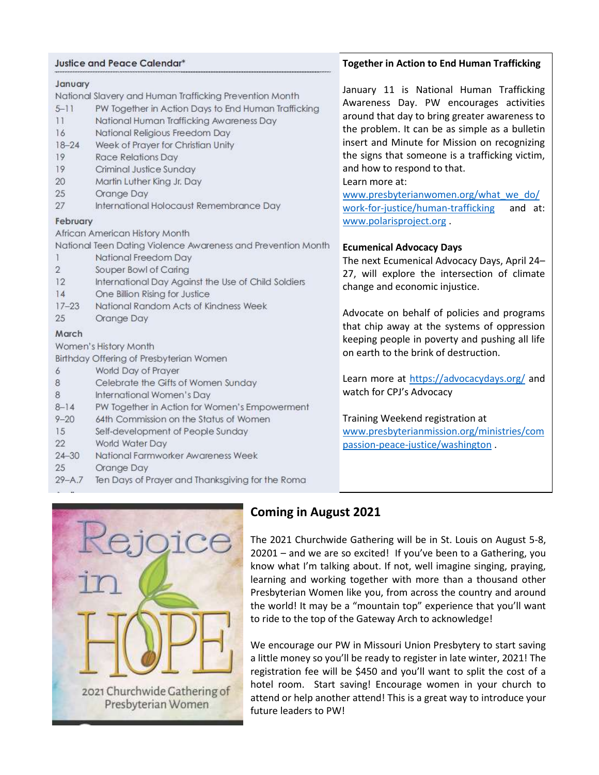#### Justice and Peace Calendar\*

#### January

#### National Slavery and Human Trafficking Prevention Month

- $5 11$ PW Together in Action Days to End Human Trafficking
- $11$ National Human Trafficking Awareness Day
- 16 National Religious Freedom Day
- $18 24$ Week of Prayer for Christian Unity
- 19 **Race Relations Day**
- 19 Criminal Justice Sunday
- 20 Martin Luther King Jr. Day
- 25 Orange Day
- 27 International Holocaust Remembrance Day

#### February

African American History Month

National Teen Dating Violence Awareness and Prevention Month

- National Freedom Day 1
- $\overline{2}$ Souper Bowl of Caring
- $12$ International Day Against the Use of Child Soldiers
- $14$ One Billion Rising for Justice
- $17 23$ National Random Acts of Kindness Week
- 25 Orange Day

#### March

Women's History Month

Birthday Offering of Presbyterian Women

- World Day of Prayer 6
- 8 Celebrate the Gifts of Women Sunday
- 8 International Women's Day
- $8 14$ PW Together in Action for Women's Empowerment
- $9 20$ 64th Commission on the Status of Women
- 15 Self-development of People Sunday
- 22 World Water Day
- $24 30$ National Farmworker Awareness Week
- 25 Orange Day
- $29 A.7$ Ten Days of Prayer and Thanksgiving for the Roma

#### **Together in Action to End Human Trafficking**

January 11 is National Human Trafficking Awareness Day. PW encourages activities around that day to bring greater awareness to the problem. It can be as simple as a bulletin insert and Minute for Mission on recognizing the signs that someone is a trafficking victim, and how to respond to that.

#### Learn more at:

[www.presbyterianwomen.org/what\\_we\\_do/](http://www.presbyterianwomen.org/what_we_do/work-for-justice/human-trafficking) [work-for-justice/human-trafficking](http://www.presbyterianwomen.org/what_we_do/work-for-justice/human-trafficking) and at: [www.polarisproject.org](http://www.polarisproject.org/) .

#### **Ecumenical Advocacy Days**

The next Ecumenical Advocacy Days, April 24– 27, will explore the intersection of climate change and economic injustice.

Advocate on behalf of policies and programs that chip away at the systems of oppression keeping people in poverty and pushing all life on earth to the brink of destruction.

Learn more at<https://advocacydays.org/> and watch for CPJ's Advocacy

Training Weekend registration at [www.presbyterianmission.org/ministries/com](http://www.presbyterianmission.org/ministries/compassion-peace-justice/washington) [passion-peace-justice/washington](http://www.presbyterianmission.org/ministries/compassion-peace-justice/washington) .



## **Coming in August 2021**

The 2021 Churchwide Gathering will be in St. Louis on August 5-8, 20201 – and we are so excited! If you've been to a Gathering, you know what I'm talking about. If not, well imagine singing, praying, learning and working together with more than a thousand other Presbyterian Women like you, from across the country and around the world! It may be a "mountain top" experience that you'll want to ride to the top of the Gateway Arch to acknowledge!

We encourage our PW in Missouri Union Presbytery to start saving a little money so you'll be ready to register in late winter, 2021! The registration fee will be \$450 and you'll want to split the cost of a hotel room. Start saving! Encourage women in your church to attend or help another attend! This is a great way to introduce your future leaders to PW!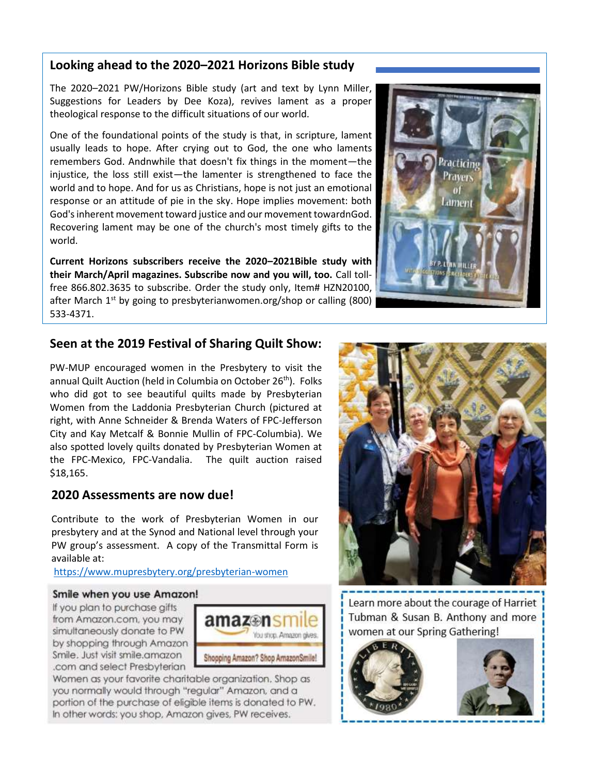## **Looking ahead to the 2020–2021 Horizons Bible study**

The 2020–2021 PW/Horizons Bible study (art and text by Lynn Miller, Suggestions for Leaders by Dee Koza), revives lament as a proper theological response to the difficult situations of our world.

One of the foundational points of the study is that, in scripture, lament usually leads to hope. After crying out to God, the one who laments remembers God. Andnwhile that doesn't fix things in the moment—the injustice, the loss still exist—the lamenter is strengthened to face the world and to hope. And for us as Christians, hope is not just an emotional response or an attitude of pie in the sky. Hope implies movement: both God's inherent movement toward justice and our movement towardnGod. Recovering lament may be one of the church's most timely gifts to the world.

**Current Horizons subscribers receive the 2020–2021Bible study with their March/April magazines. Subscribe now and you will, too.** Call tollfree 866.802.3635 to subscribe. Order the study only, Item# HZN20100, after March  $1<sup>st</sup>$  by going to presbyterianwomen.org/shop or calling (800) 533-4371.



## **Seen at the 2019 Festival of Sharing Quilt Show:**

PW-MUP encouraged women in the Presbytery to visit the annual Quilt Auction (held in Columbia on October 26<sup>th</sup>). Folks who did got to see beautiful quilts made by Presbyterian Women from the Laddonia Presbyterian Church (pictured at right, with Anne Schneider & Brenda Waters of FPC-Jefferson City and Kay Metcalf & Bonnie Mullin of FPC-Columbia). We also spotted lovely quilts donated by Presbyterian Women at the FPC-Mexico, FPC-Vandalia. The quilt auction raised \$18,165.

#### **2020 Assessments are now due!**

Contribute to the work of Presbyterian Women in our presbytery and at the Synod and National level through your PW group's assessment. A copy of the Transmittal Form is available at:

<https://www.mupresbytery.org/presbyterian-women>

#### Smile when you use Amazon!

If you plan to purchase gifts from Amazon.com, you may simultaneously donate to PW by shopping through Amazon Smile. Just visit smile.amazon .com and select Presbyterian



Women as your favorite charitable organization. Shop as you normally would through "regular" Amazon, and a portion of the purchase of eligible items is donated to PW. In other words: you shop, Amazon gives, PW receives.



Learn more about the courage of Harriet Tubman & Susan B. Anthony and more women at our Spring Gathering!